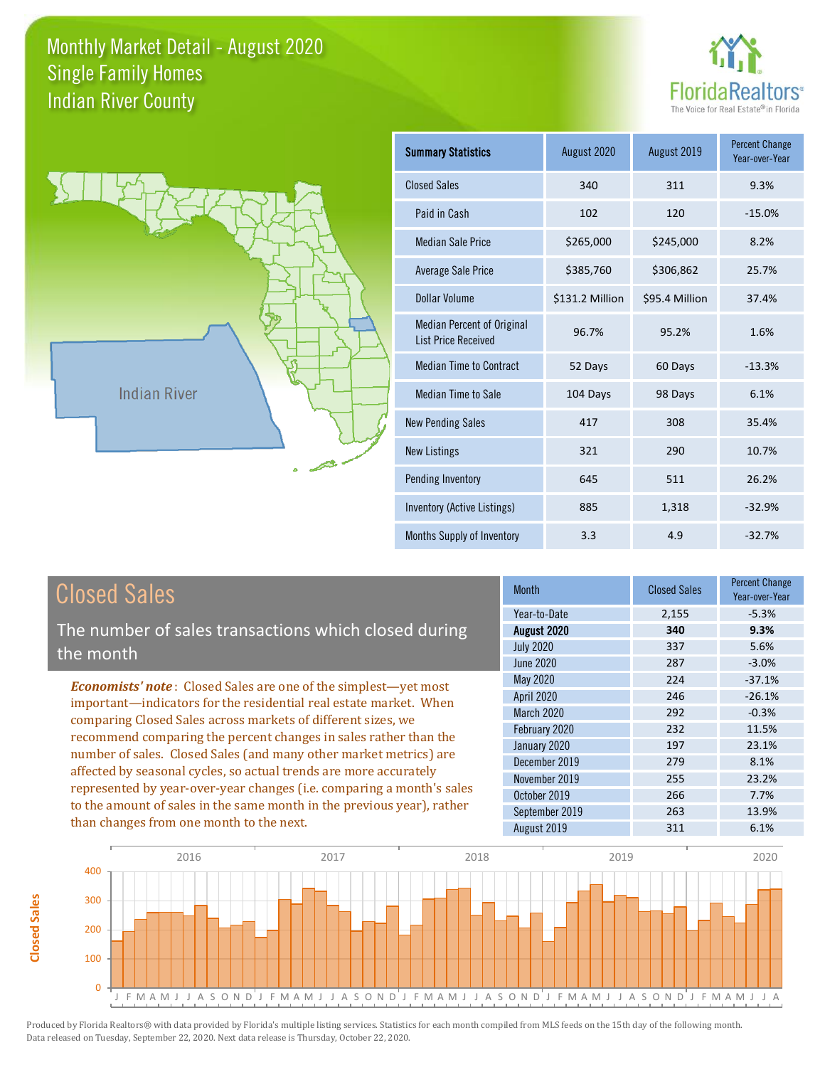



**Closed Sales**

**Closed Sales** 

| <b>Summary Statistics</b>                                       | August 2020     | August 2019    | <b>Percent Change</b><br>Year-over-Year |
|-----------------------------------------------------------------|-----------------|----------------|-----------------------------------------|
| <b>Closed Sales</b>                                             | 340             | 311            | 9.3%                                    |
| Paid in Cash                                                    | 102             | 120            | $-15.0%$                                |
| <b>Median Sale Price</b>                                        | \$265,000       | \$245,000      | 8.2%                                    |
| <b>Average Sale Price</b>                                       | \$385,760       | \$306,862      | 25.7%                                   |
| Dollar Volume                                                   | \$131.2 Million | \$95.4 Million | 37.4%                                   |
| <b>Median Percent of Original</b><br><b>List Price Received</b> | 96.7%           | 95.2%          | 1.6%                                    |
| <b>Median Time to Contract</b>                                  | 52 Days         | 60 Days        | $-13.3%$                                |
| <b>Median Time to Sale</b>                                      | 104 Days        | 98 Days        | 6.1%                                    |
| <b>New Pending Sales</b>                                        | 417             | 308            | 35.4%                                   |
| <b>New Listings</b>                                             | 321             | 290            | 10.7%                                   |
| Pending Inventory                                               | 645             | 511            | 26.2%                                   |
| Inventory (Active Listings)                                     | 885             | 1,318          | $-32.9%$                                |
| Months Supply of Inventory                                      | 3.3             | 4.9            | $-32.7%$                                |

| <b>Closed Sales</b>                                                                                                                                                                                   | <b>Month</b>      | <b>Closed Sales</b> | Percent Change<br>Year-over-Year |
|-------------------------------------------------------------------------------------------------------------------------------------------------------------------------------------------------------|-------------------|---------------------|----------------------------------|
|                                                                                                                                                                                                       | Year-to-Date      | 2,155               | $-5.3%$                          |
| The number of sales transactions which closed during                                                                                                                                                  | August 2020       | 340                 | 9.3%                             |
| the month                                                                                                                                                                                             | <b>July 2020</b>  | 337                 | 5.6%                             |
|                                                                                                                                                                                                       | June 2020         | 287                 | $-3.0%$                          |
| <b>Economists' note:</b> Closed Sales are one of the simplest—yet most                                                                                                                                | May 2020          | 224                 | $-37.1%$                         |
| important-indicators for the residential real estate market. When                                                                                                                                     | April 2020        | 246                 | $-26.1%$                         |
| comparing Closed Sales across markets of different sizes, we<br>recommend comparing the percent changes in sales rather than the<br>number of sales. Closed Sales (and many other market metrics) are | <b>March 2020</b> | 292                 | $-0.3%$                          |
|                                                                                                                                                                                                       | February 2020     | 232                 | 11.5%                            |
|                                                                                                                                                                                                       | January 2020      | 197                 | 23.1%                            |
|                                                                                                                                                                                                       | December 2019     | 279                 | 8.1%                             |
| affected by seasonal cycles, so actual trends are more accurately                                                                                                                                     | November 2019     | 255                 | 23.2%                            |
| represented by year-over-year changes (i.e. comparing a month's sales                                                                                                                                 | October 2019      | 266                 | 7.7%                             |
| to the amount of sales in the same month in the previous year), rather                                                                                                                                | September 2019    | 263                 | 13.9%                            |
| than changes from one month to the next.                                                                                                                                                              | August 2019       | 311                 | 6.1%                             |
|                                                                                                                                                                                                       |                   |                     |                                  |

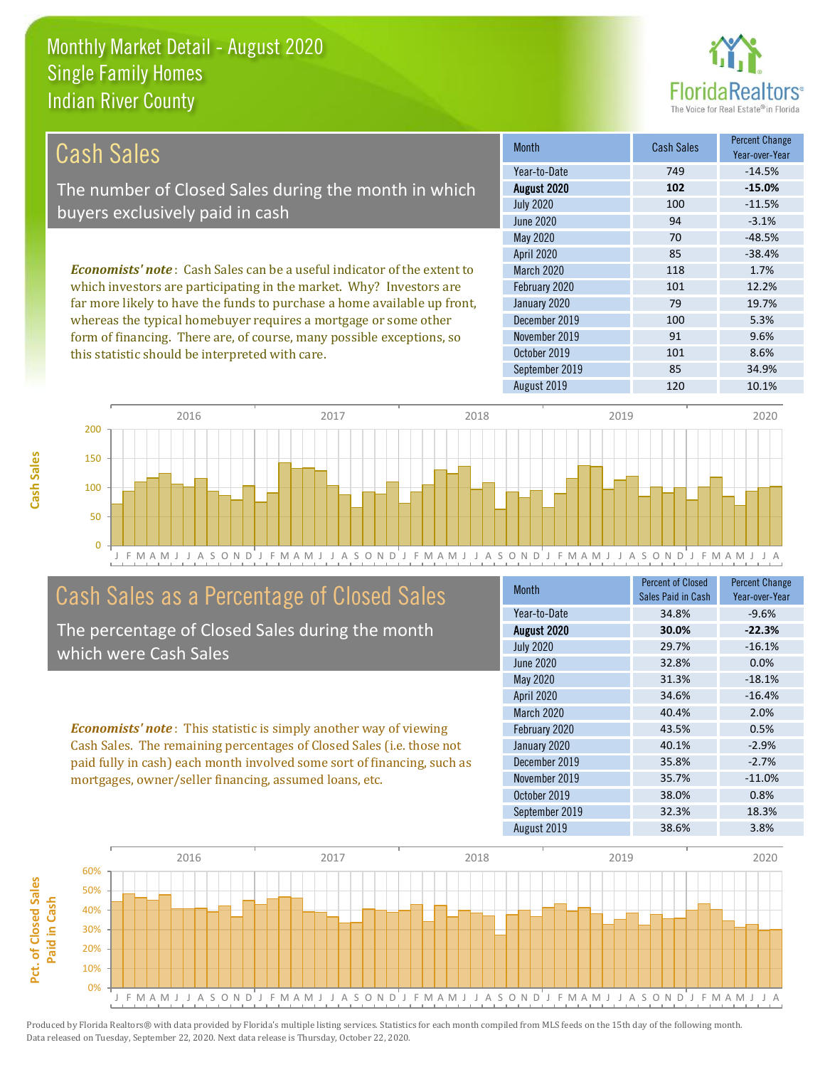

| Cash Sales                                                                     | <b>Month</b>      | Cash Sales | <b>Percent Change</b><br>Year-over-Year |
|--------------------------------------------------------------------------------|-------------------|------------|-----------------------------------------|
|                                                                                | Year-to-Date      | 749        | $-14.5%$                                |
| The number of Closed Sales during the month in which                           | August 2020       | 102        | $-15.0%$                                |
|                                                                                | <b>July 2020</b>  | 100        | $-11.5%$                                |
| buyers exclusively paid in cash                                                | June 2020         | 94         | $-3.1%$                                 |
|                                                                                | May 2020          | 70         | $-48.5%$                                |
|                                                                                | <b>April 2020</b> | 85         | $-38.4%$                                |
| <b>Economists' note:</b> Cash Sales can be a useful indicator of the extent to | <b>March 2020</b> | 118        | 1.7%                                    |
| which investors are participating in the market. Why? Investors are            | February 2020     | 101        | 12.2%                                   |
| far more likely to have the funds to purchase a home available up front,       | January 2020      | 79         | 19.7%                                   |
| whereas the typical homebuyer requires a mortgage or some other                | December 2019     | 100        | 5.3%                                    |
| form of financing. There are, of course, many possible exceptions, so          | November 2019     | 91         | 9.6%                                    |
| this statistic should be interpreted with care.                                | October 2019      | 101        | 8.6%                                    |



## Cash Sales as a Percentage of Closed Sales

The percentage of Closed Sales during the month which were Cash Sales

*Economists' note* : This statistic is simply another way of viewing Cash Sales. The remaining percentages of Closed Sales (i.e. those not paid fully in cash) each month involved some sort of financing, such as mortgages, owner/seller financing, assumed loans, etc.

| Month             | <b>Percent of Closed</b><br>Sales Paid in Cash | <b>Percent Change</b><br>Year-over-Year |
|-------------------|------------------------------------------------|-----------------------------------------|
| Year-to-Date      | 34.8%                                          | $-9.6%$                                 |
| August 2020       | 30.0%                                          | $-22.3%$                                |
| <b>July 2020</b>  | 29.7%                                          | $-16.1%$                                |
| <b>June 2020</b>  | 32.8%                                          | 0.0%                                    |
| May 2020          | 31.3%                                          | $-18.1%$                                |
| April 2020        | 34.6%                                          | $-16.4%$                                |
| <b>March 2020</b> | 40.4%                                          | 2.0%                                    |
| February 2020     | 43.5%                                          | 0.5%                                    |
| January 2020      | 40.1%                                          | $-2.9%$                                 |
| December 2019     | 35.8%                                          | $-2.7%$                                 |
| November 2019     | 35.7%                                          | $-11.0%$                                |
| October 2019      | 38.0%                                          | 0.8%                                    |
| September 2019    | 32.3%                                          | 18.3%                                   |
| August 2019       | 38.6%                                          | 3.8%                                    |

September 2019 85 34.9%

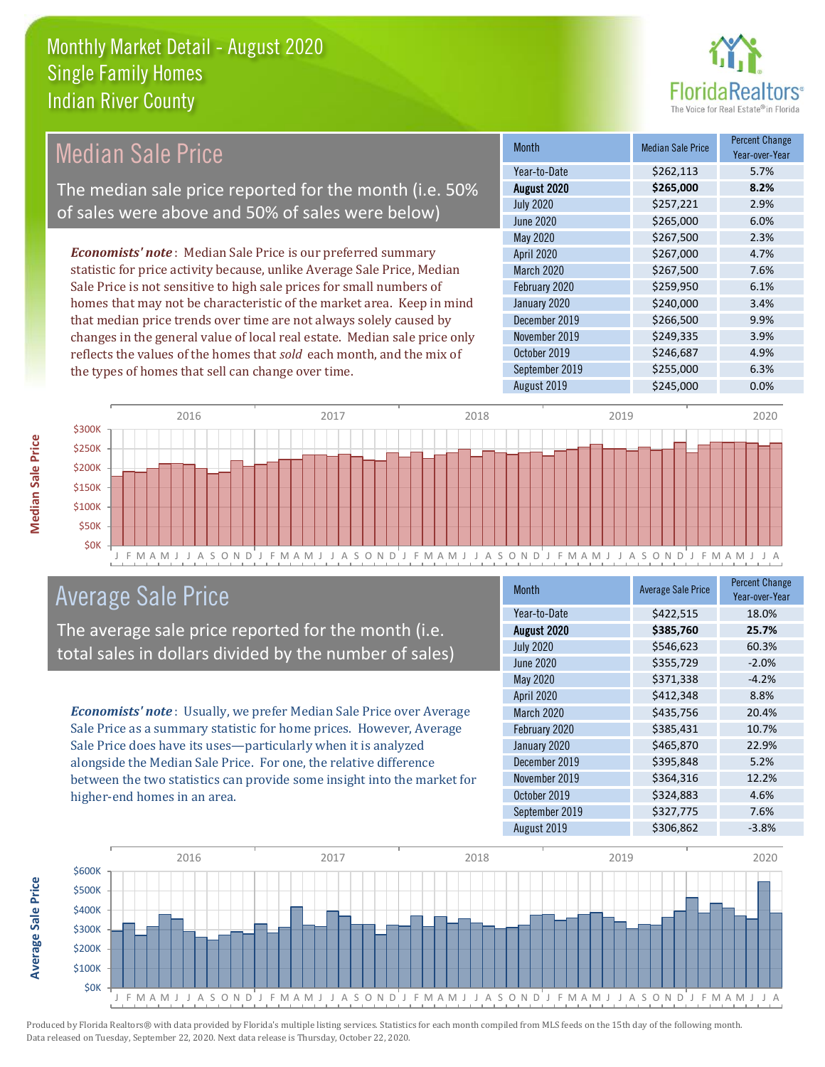

#### *Economists' note* : Median Sale Price is our preferred summary statistic for price activity because, unlike Average Sale Price, Median Sale Price is not sensitive to high sale prices for small numbers of homes that may not be characteristic of the market area. Keep in mind that median price trends over time are not always solely caused by changes in the general value of local real estate. Median sale price only reflects the values of the homes that *sold* each month, and the mix of the types of homes that sell can change over time. August 2019 \$245,000 0.0% October 2019 **\$246,687** 4.9% September 2019 **\$255,000** 6.3% December 2019 **\$266,500** 9.9% November 2019 **\$249,335** 3.9% \$267,500 2.3% April 2020 \$267,000 4.7% January 2020 \$240,000 \$240,000 \$3.4% July 2020 \$257,221 2.9% June 2020 \$265,000 \$265,000 6.0% March 2020 \$267,500 7.6% February 2020 \$259,950 6.1% May 2020 Month Median Sale Price Percent Change Year-over-Year August 2020 **\$265,000 8.2%** Year-to-Date \$262,113 5.7% Median Sale Price The median sale price reported for the month (i.e. 50% of sales were above and 50% of sales were below)



### Average Sale Price

The average sale price reported for the month (i.e. total sales in dollars divided by the number of sales)

*Economists' note* : Usually, we prefer Median Sale Price over Average Sale Price as a summary statistic for home prices. However, Average Sale Price does have its uses—particularly when it is analyzed alongside the Median Sale Price. For one, the relative difference between the two statistics can provide some insight into the market for higher-end homes in an area.

| Month             | <b>Average Sale Price</b> | <b>Percent Change</b><br>Year-over-Year |
|-------------------|---------------------------|-----------------------------------------|
| Year-to-Date      | \$422,515                 | 18.0%                                   |
| August 2020       | \$385,760                 | 25.7%                                   |
| <b>July 2020</b>  | \$546,623                 | 60.3%                                   |
| <b>June 2020</b>  | \$355,729                 | $-2.0%$                                 |
| May 2020          | \$371,338                 | $-4.2%$                                 |
| April 2020        | \$412,348                 | 8.8%                                    |
| <b>March 2020</b> | \$435,756                 | 20.4%                                   |
| February 2020     | \$385,431                 | 10.7%                                   |
| January 2020      | \$465,870                 | 22.9%                                   |
| December 2019     | \$395,848                 | 5.2%                                    |
| November 2019     | \$364,316                 | 12.2%                                   |
| October 2019      | \$324,883                 | 4.6%                                    |
| September 2019    | \$327,775                 | 7.6%                                    |
| August 2019       | \$306,862                 | $-3.8%$                                 |



**Median Sale Price** 

**Average Sale Price**

Average Sale Price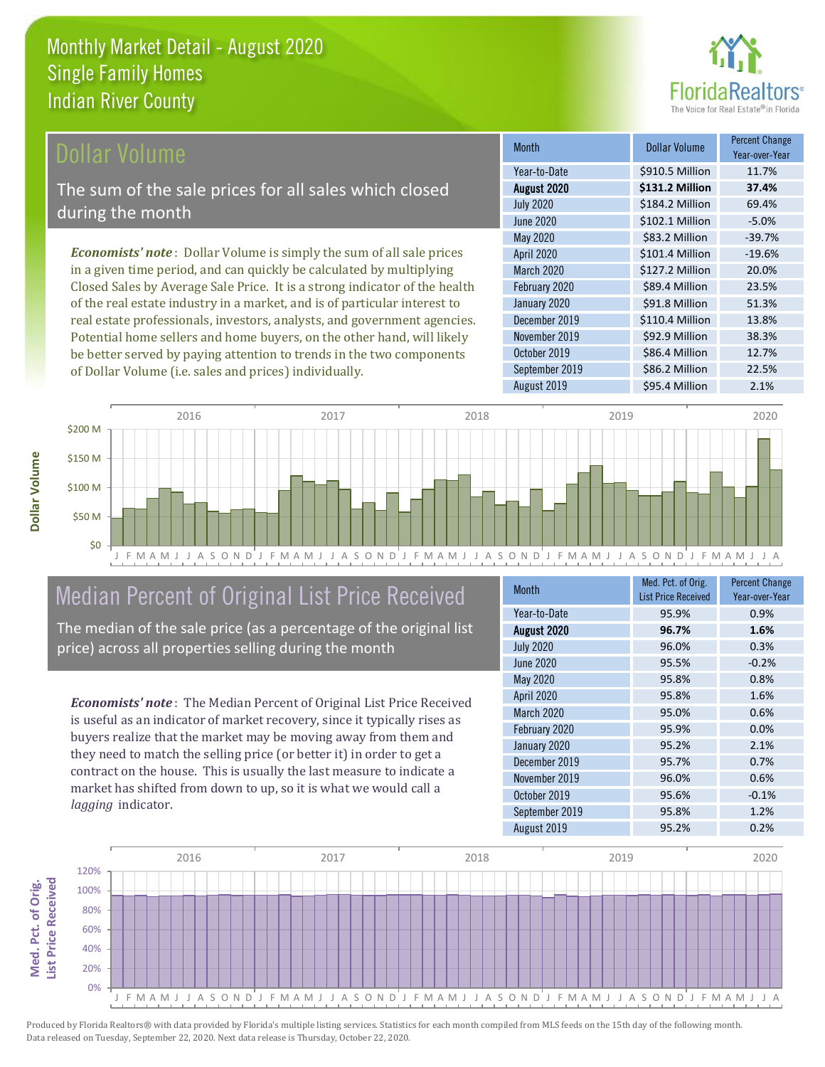

#### **Ollar Volume**

The sum of the sale prices for all sales which closed during the month

*Economists' note* : Dollar Volume is simply the sum of all sale prices in a given time period, and can quickly be calculated by multiplying Closed Sales by Average Sale Price. It is a strong indicator of the health of the real estate industry in a market, and is of particular interest to real estate professionals, investors, analysts, and government agencies. Potential home sellers and home buyers, on the other hand, will likely be better served by paying attention to trends in the two components of Dollar Volume (i.e. sales and prices) individually.

| <b>Month</b>     | <b>Dollar Volume</b> | <b>Percent Change</b><br>Year-over-Year |
|------------------|----------------------|-----------------------------------------|
| Year-to-Date     | \$910.5 Million      | 11.7%                                   |
| August 2020      | \$131.2 Million      | 37.4%                                   |
| <b>July 2020</b> | \$184.2 Million      | 69.4%                                   |
| <b>June 2020</b> | \$102.1 Million      | $-5.0%$                                 |
| May 2020         | \$83.2 Million       | $-39.7%$                                |
| April 2020       | \$101.4 Million      | $-19.6%$                                |
| March 2020       | \$127.2 Million      | 20.0%                                   |
| February 2020    | \$89.4 Million       | 23.5%                                   |
| January 2020     | \$91.8 Million       | 51.3%                                   |
| December 2019    | \$110.4 Million      | 13.8%                                   |
| November 2019    | \$92.9 Million       | 38.3%                                   |
| October 2019     | \$86.4 Million       | 12.7%                                   |
| September 2019   | \$86.2 Million       | 22.5%                                   |
| August 2019      | \$95.4 Million       | 2.1%                                    |



# Median Percent of Original List Price Received

The median of the sale price (as a percentage of the original list price) across all properties selling during the month

*Economists' note* : The Median Percent of Original List Price Received is useful as an indicator of market recovery, since it typically rises as buyers realize that the market may be moving away from them and they need to match the selling price (or better it) in order to get a contract on the house. This is usually the last measure to indicate a market has shifted from down to up, so it is what we would call a *lagging* indicator.

| <b>Month</b>     | Med. Pct. of Orig.<br><b>List Price Received</b> | <b>Percent Change</b><br>Year-over-Year |
|------------------|--------------------------------------------------|-----------------------------------------|
| Year-to-Date     | 95.9%                                            | 0.9%                                    |
| August 2020      | 96.7%                                            | 1.6%                                    |
| <b>July 2020</b> | 96.0%                                            | 0.3%                                    |
| <b>June 2020</b> | 95.5%                                            | $-0.2%$                                 |
| May 2020         | 95.8%                                            | 0.8%                                    |
| April 2020       | 95.8%                                            | 1.6%                                    |
| March 2020       | 95.0%                                            | 0.6%                                    |
| February 2020    | 95.9%                                            | 0.0%                                    |
| January 2020     | 95.2%                                            | 2.1%                                    |
| December 2019    | 95.7%                                            | 0.7%                                    |
| November 2019    | 96.0%                                            | 0.6%                                    |
| October 2019     | 95.6%                                            | $-0.1%$                                 |
| September 2019   | 95.8%                                            | 1.2%                                    |
| August 2019      | 95.2%                                            | 0.2%                                    |

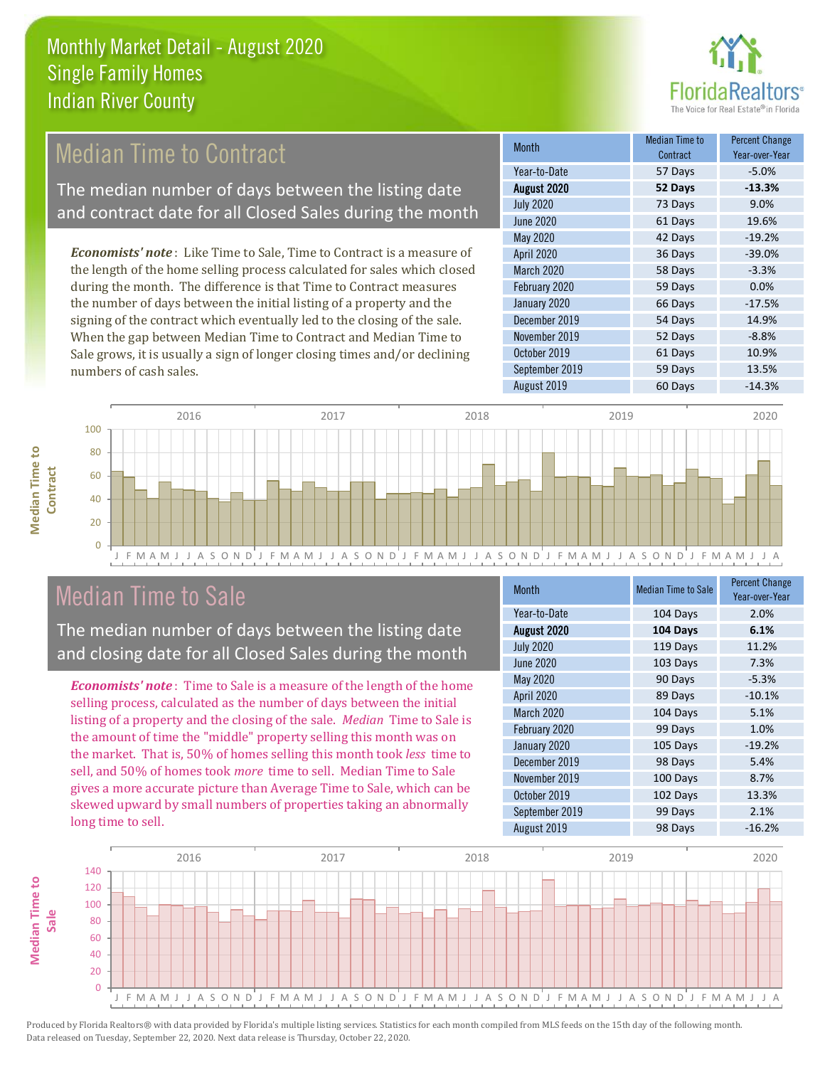

# Median Time to Contract

The median number of days between the listing date and contract date for all Closed Sales during the month

*Economists' note* : Like Time to Sale, Time to Contract is a measure of the length of the home selling process calculated for sales which closed during the month. The difference is that Time to Contract measures the number of days between the initial listing of a property and the signing of the contract which eventually led to the closing of the sale. When the gap between Median Time to Contract and Median Time to Sale grows, it is usually a sign of longer closing times and/or declining numbers of cash sales.

| <b>Month</b>     | Median Time to<br>Contract | <b>Percent Change</b><br>Year-over-Year |
|------------------|----------------------------|-----------------------------------------|
| Year-to-Date     | 57 Days                    | $-5.0%$                                 |
| August 2020      | 52 Days                    | $-13.3%$                                |
| <b>July 2020</b> | 73 Days                    | 9.0%                                    |
| <b>June 2020</b> | 61 Days                    | 19.6%                                   |
| May 2020         | 42 Days                    | $-19.2%$                                |
| April 2020       | 36 Days                    | $-39.0%$                                |
| March 2020       | 58 Days                    | $-3.3%$                                 |
| February 2020    | 59 Days                    | 0.0%                                    |
| January 2020     | 66 Days                    | $-17.5%$                                |
| December 2019    | 54 Days                    | 14.9%                                   |
| November 2019    | 52 Days                    | $-8.8%$                                 |
| October 2019     | 61 Days                    | 10.9%                                   |
| September 2019   | 59 Days                    | 13.5%                                   |
| August 2019      | 60 Days                    | $-14.3%$                                |





Median Time to Sale

The median number of days between the listing date and closing date for all Closed Sales during the month

*Economists' note* : Time to Sale is a measure of the length of the home selling process, calculated as the number of days between the initial listing of a property and the closing of the sale. *Median* Time to Sale is the amount of time the "middle" property selling this month was on the market. That is, 50% of homes selling this month took *less* time to sell, and 50% of homes took *more* time to sell. Median Time to Sale gives a more accurate picture than Average Time to Sale, which can be skewed upward by small numbers of properties taking an abnormally long time to sell.

| <b>Month</b>     | <b>Median Time to Sale</b> | <b>Percent Change</b><br>Year-over-Year |
|------------------|----------------------------|-----------------------------------------|
| Year-to-Date     | 104 Days                   | 2.0%                                    |
| August 2020      | 104 Days                   | 6.1%                                    |
| <b>July 2020</b> | 119 Days                   | 11.2%                                   |
| <b>June 2020</b> | 103 Days                   | 7.3%                                    |
| May 2020         | 90 Days                    | $-5.3%$                                 |
| April 2020       | 89 Days                    | $-10.1%$                                |
| March 2020       | 104 Days                   | 5.1%                                    |
| February 2020    | 99 Days                    | 1.0%                                    |
| January 2020     | 105 Days                   | $-19.2%$                                |
| December 2019    | 98 Days                    | 5.4%                                    |
| November 2019    | 100 Days                   | 8.7%                                    |
| October 2019     | 102 Days                   | 13.3%                                   |
| September 2019   | 99 Days                    | 2.1%                                    |
| August 2019      | 98 Days                    | $-16.2%$                                |



J F M A M J J A S O N D J F M A M J J A S O N D J F M A M J J A S O N D J F M A M J J A S O N D J F M A M J J A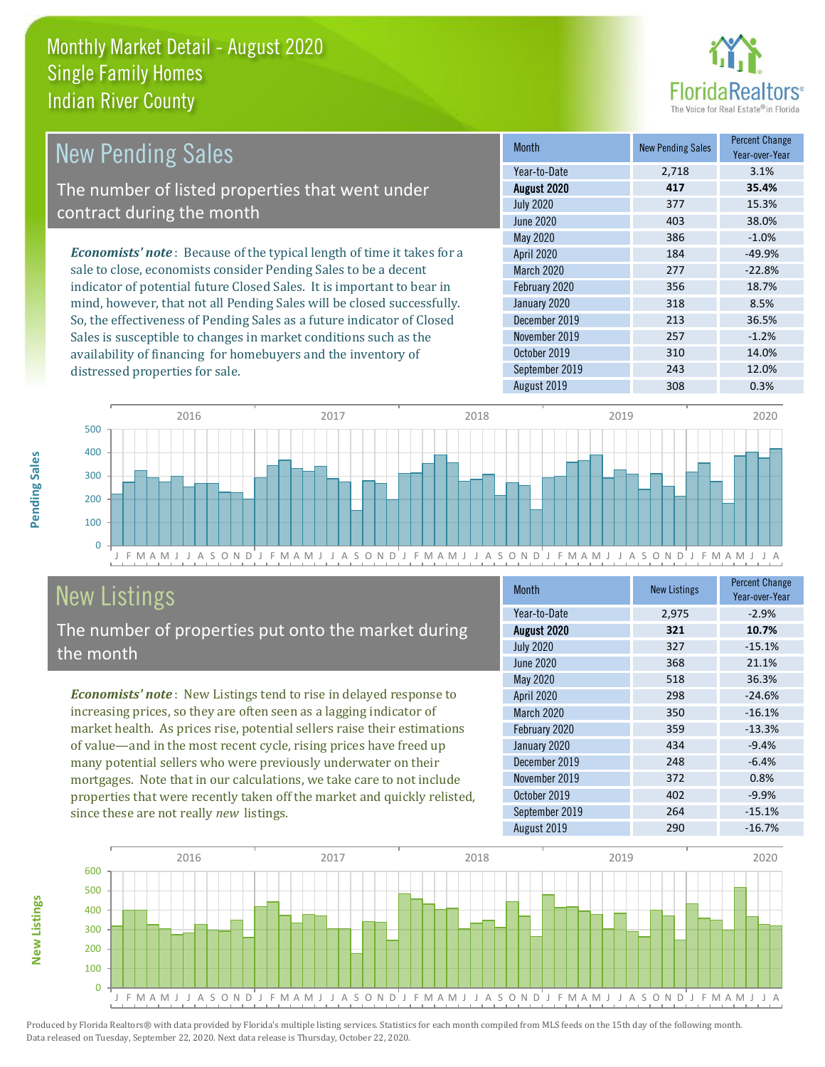

| <b>New Pending Sales</b>                                                      | <b>Month</b>      | <b>New Pending Sales</b> | <b>Percent Change</b><br>Year-over-Year |
|-------------------------------------------------------------------------------|-------------------|--------------------------|-----------------------------------------|
|                                                                               | Year-to-Date      | 2,718                    | 3.1%                                    |
| The number of listed properties that went under                               | August 2020       | 417                      | 35.4%                                   |
| contract during the month                                                     | <b>July 2020</b>  | 377                      | 15.3%                                   |
|                                                                               | June 2020         | 403                      | 38.0%                                   |
|                                                                               | May 2020          | 386                      | $-1.0%$                                 |
| <b>Economists' note:</b> Because of the typical length of time it takes for a | <b>April 2020</b> | 184                      | $-49.9%$                                |
| sale to close, economists consider Pending Sales to be a decent               | <b>March 2020</b> | 277                      | $-22.8%$                                |
| indicator of potential future Closed Sales. It is important to bear in        | February 2020     | 356                      | 18.7%                                   |
| mind, however, that not all Pending Sales will be closed successfully.        | January 2020      | 318                      | 8.5%                                    |
| So, the effectiveness of Pending Sales as a future indicator of Closed        | December 2019     | 213                      | 36.5%                                   |
| Sales is susceptible to changes in market conditions such as the              | November 2019     | 257                      | $-1.2%$                                 |
| availability of financing for homebuyers and the inventory of                 | October 2019      | 310                      | 14.0%                                   |



# New Listings

distressed properties for sale.

The number of properties put onto the market during the month

*Economists' note* : New Listings tend to rise in delayed response to increasing prices, so they are often seen as a lagging indicator of market health. As prices rise, potential sellers raise their estimations of value—and in the most recent cycle, rising prices have freed up many potential sellers who were previously underwater on their mortgages. Note that in our calculations, we take care to not include properties that were recently taken off the market and quickly relisted, since these are not really *new* listings.

| <b>Month</b>      | <b>New Listings</b> | <b>Percent Change</b><br>Year-over-Year |
|-------------------|---------------------|-----------------------------------------|
| Year-to-Date      | 2,975               | $-2.9%$                                 |
| August 2020       | 321                 | 10.7%                                   |
| <b>July 2020</b>  | 327                 | $-15.1%$                                |
| June 2020         | 368                 | 21.1%                                   |
| May 2020          | 518                 | 36.3%                                   |
| April 2020        | 298                 | $-24.6%$                                |
| <b>March 2020</b> | 350                 | $-16.1%$                                |
| February 2020     | 359                 | $-13.3%$                                |
| January 2020      | 434                 | $-9.4%$                                 |
| December 2019     | 248                 | $-6.4%$                                 |
| November 2019     | 372                 | 0.8%                                    |
| October 2019      | 402                 | $-9.9%$                                 |
| September 2019    | 264                 | $-15.1%$                                |
| August 2019       | 290                 | $-16.7%$                                |

September 2019 243 243 12.0%



Produced by Florida Realtors® with data provided by Florida's multiple listing services. Statistics for each month compiled from MLS feeds on the 15th day of the following month. Data released on Tuesday, September 22, 2020. Next data release is Thursday, October 22, 2020.

**New Listings**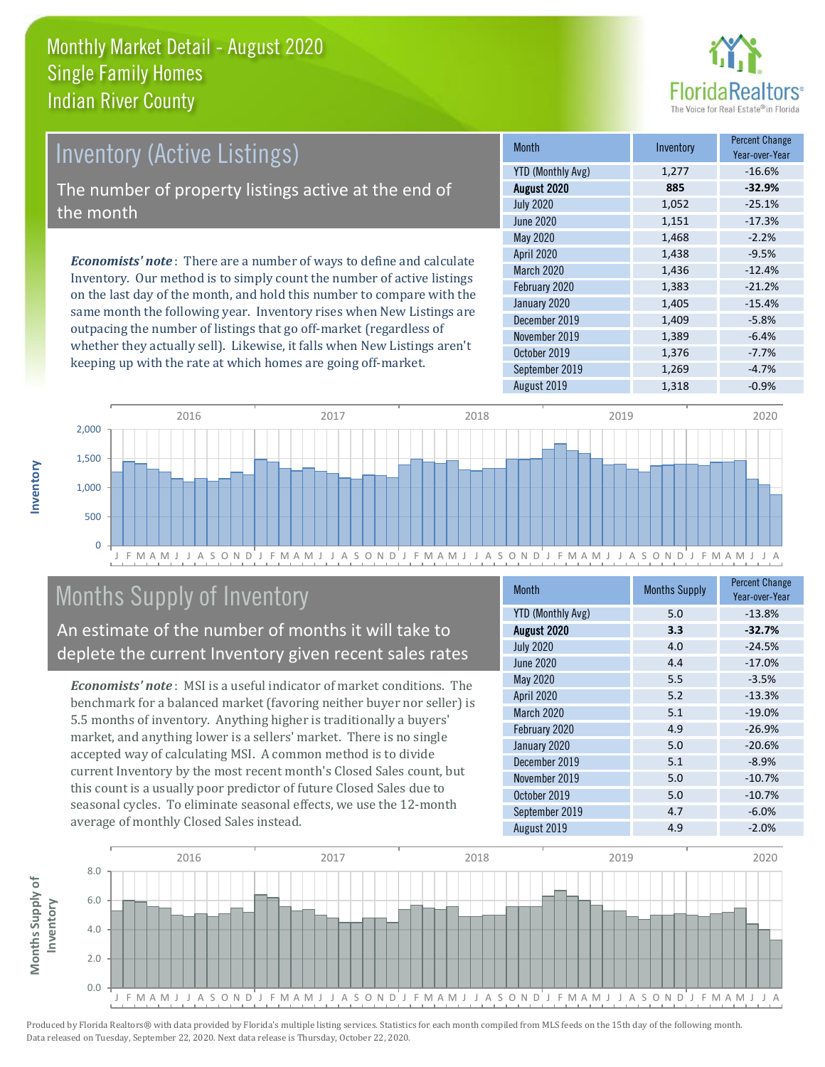

# Inventory (Active Listings)

The number of property listings active at the end of the month

*Economists' note* : There are a number of ways to define and calculate Inventory. Our method is to simply count the number of active listings on the last day of the month, and hold this number to compare with the same month the following year. Inventory rises when New Listings are outpacing the number of listings that go off-market (regardless of whether they actually sell). Likewise, it falls when New Listings aren't keeping up with the rate at which homes are going off-market.

| <b>Month</b>             | Inventory | <b>Percent Change</b><br>Year-over-Year |
|--------------------------|-----------|-----------------------------------------|
| <b>YTD (Monthly Avg)</b> | 1,277     | $-16.6%$                                |
| August 2020              | 885       | $-32.9%$                                |
| <b>July 2020</b>         | 1,052     | $-25.1%$                                |
| <b>June 2020</b>         | 1,151     | $-17.3%$                                |
| May 2020                 | 1,468     | $-2.2%$                                 |
| April 2020               | 1,438     | $-9.5%$                                 |
| March 2020               | 1,436     | $-12.4%$                                |
| February 2020            | 1,383     | $-21.2%$                                |
| January 2020             | 1,405     | $-15.4%$                                |
| December 2019            | 1,409     | $-5.8%$                                 |
| November 2019            | 1,389     | $-6.4%$                                 |
| October 2019             | 1,376     | $-7.7%$                                 |
| September 2019           | 1,269     | $-4.7%$                                 |
| August 2019              | 1,318     | $-0.9%$                                 |



# Months Supply of Inventory

An estimate of the number of months it will take to deplete the current Inventory given recent sales rates

*Economists' note* : MSI is a useful indicator of market conditions. The benchmark for a balanced market (favoring neither buyer nor seller) is 5.5 months of inventory. Anything higher is traditionally a buyers' market, and anything lower is a sellers' market. There is no single accepted way of calculating MSI. A common method is to divide current Inventory by the most recent month's Closed Sales count, but this count is a usually poor predictor of future Closed Sales due to seasonal cycles. To eliminate seasonal effects, we use the 12-month average of monthly Closed Sales instead.

| <b>Month</b>             | <b>Months Supply</b> | <b>Percent Change</b><br>Year-over-Year |
|--------------------------|----------------------|-----------------------------------------|
| <b>YTD (Monthly Avg)</b> | 5.0                  | $-13.8%$                                |
| August 2020              | 3.3                  | $-32.7%$                                |
| <b>July 2020</b>         | 4.0                  | $-24.5%$                                |
| <b>June 2020</b>         | 4.4                  | $-17.0%$                                |
| May 2020                 | 5.5                  | $-3.5%$                                 |
| April 2020               | 5.2                  | $-13.3%$                                |
| <b>March 2020</b>        | 5.1                  | $-19.0%$                                |
| February 2020            | 4.9                  | $-26.9%$                                |
| January 2020             | 5.0                  | $-20.6%$                                |
| December 2019            | 5.1                  | $-8.9%$                                 |
| November 2019            | 5.0                  | $-10.7%$                                |
| October 2019             | 5.0                  | $-10.7%$                                |
| September 2019           | 4.7                  | $-6.0%$                                 |
| August 2019              | 4.9                  | $-2.0%$                                 |

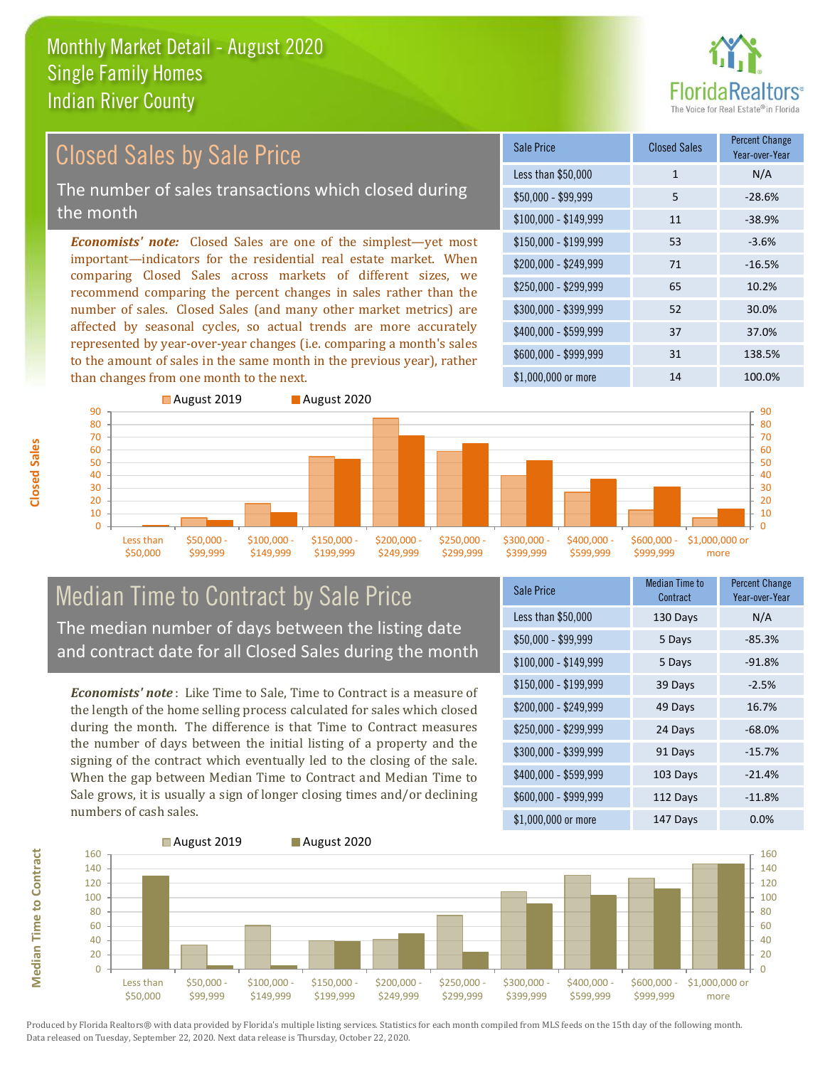

#### Sale Price Closed Sales Percent Change Year-over-Year *Economists' note:* Closed Sales are one of the simplest—yet most important—indicators for the residential real estate market. When comparing Closed Sales across markets of different sizes, we recommend comparing the percent changes in sales rather than the number of sales. Closed Sales (and many other market metrics) are Closed Sales by Sale Price The number of sales transactions which closed during the month

affected by seasonal cycles, so actual trends are more accurately represented by year-over-year changes (i.e. comparing a month's sales to the amount of sales in the same month in the previous year), rather than changes from one month to the next.





#### Median Time to Contract by Sale Price The median number of days between the listing date and contract date for all Closed Sales during the month

*Economists' note* : Like Time to Sale, Time to Contract is a measure of the length of the home selling process calculated for sales which closed during the month. The difference is that Time to Contract measures the number of days between the initial listing of a property and the signing of the contract which eventually led to the closing of the sale. When the gap between Median Time to Contract and Median Time to Sale grows, it is usually a sign of longer closing times and/or declining numbers of cash sales.

| <b>Sale Price</b>     | <b>Median Time to</b><br>Contract | <b>Percent Change</b><br>Year-over-Year |
|-----------------------|-----------------------------------|-----------------------------------------|
| Less than \$50,000    | 130 Days                          | N/A                                     |
| $$50,000 - $99,999$   | 5 Days                            | $-85.3%$                                |
| $$100,000 - $149,999$ | 5 Days                            | $-91.8%$                                |
| $$150,000 - $199,999$ | 39 Days                           | $-2.5%$                                 |
| \$200,000 - \$249,999 | 49 Days                           | 16.7%                                   |
| \$250,000 - \$299,999 | 24 Days                           | $-68.0%$                                |
| \$300,000 - \$399,999 | 91 Days                           | $-15.7%$                                |
| \$400,000 - \$599,999 | 103 Days                          | $-21.4%$                                |
| \$600,000 - \$999,999 | 112 Days                          | $-11.8%$                                |
| \$1,000,000 or more   | 147 Days                          | 0.0%                                    |

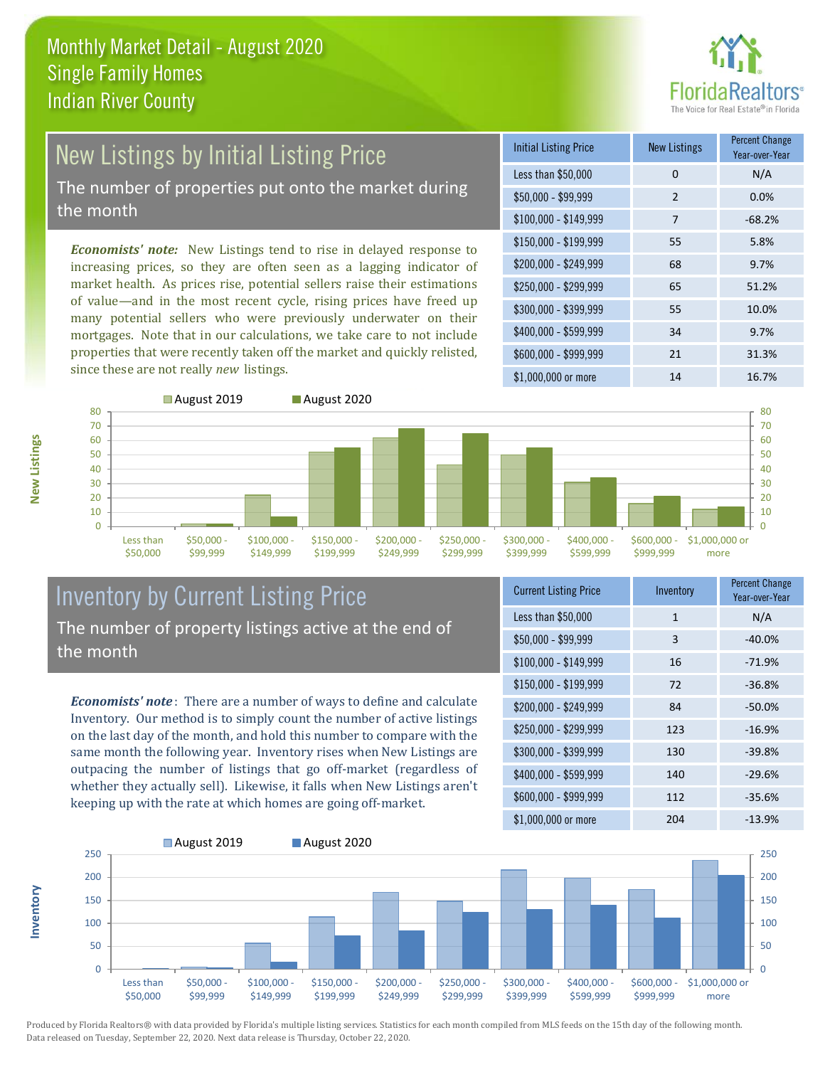

# New Listings by Initial Listing Price The number of properties put onto the market during

the month

*Economists' note:* New Listings tend to rise in delayed response to increasing prices, so they are often seen as a lagging indicator of market health. As prices rise, potential sellers raise their estimations of value—and in the most recent cycle, rising prices have freed up many potential sellers who were previously underwater on their mortgages. Note that in our calculations, we take care to not include properties that were recently taken off the market and quickly relisted, since these are not really *new* listings.

| <b>Initial Listing Price</b> | <b>New Listings</b> | <b>Percent Change</b><br>Year-over-Year |
|------------------------------|---------------------|-----------------------------------------|
| Less than \$50,000           | $\Omega$            | N/A                                     |
| $$50,000 - $99,999$          | $\overline{2}$      | 0.0%                                    |
| $$100,000 - $149,999$        | 7                   | $-68.2%$                                |
| $$150,000 - $199,999$        | 55                  | 5.8%                                    |
| \$200,000 - \$249,999        | 68                  | 9.7%                                    |
| \$250,000 - \$299,999        | 65                  | 51.2%                                   |
| \$300,000 - \$399,999        | 55                  | 10.0%                                   |
| \$400,000 - \$599,999        | 34                  | 9.7%                                    |
| \$600,000 - \$999,999        | 21                  | 31.3%                                   |
| \$1,000,000 or more          | 14                  | 16.7%                                   |



#### Inventory by Current Listing Price The number of property listings active at the end of the month

*Economists' note* : There are a number of ways to define and calculate Inventory. Our method is to simply count the number of active listings on the last day of the month, and hold this number to compare with the same month the following year. Inventory rises when New Listings are outpacing the number of listings that go off-market (regardless of whether they actually sell). Likewise, it falls when New Listings aren't keeping up with the rate at which homes are going off-market.

| <b>Current Listing Price</b> | Inventory | <b>Percent Change</b><br>Year-over-Year |
|------------------------------|-----------|-----------------------------------------|
| Less than \$50,000           | 1         | N/A                                     |
| $$50,000 - $99,999$          | 3         | $-40.0%$                                |
| $$100,000 - $149,999$        | 16        | $-71.9%$                                |
| $$150,000 - $199,999$        | 72        | $-36.8%$                                |
| \$200,000 - \$249,999        | 84        | $-50.0%$                                |
| \$250,000 - \$299,999        | 123       | $-16.9%$                                |
| \$300,000 - \$399,999        | 130       | $-39.8%$                                |
| $$400,000 - $599,999$        | 140       | $-29.6%$                                |
| \$600,000 - \$999,999        | 112       | $-35.6%$                                |
| \$1,000,000 or more          | 204       | $-13.9%$                                |



Produced by Florida Realtors® with data provided by Florida's multiple listing services. Statistics for each month compiled from MLS feeds on the 15th day of the following month. Data released on Tuesday, September 22, 2020. Next data release is Thursday, October 22, 2020.

**Inventory**